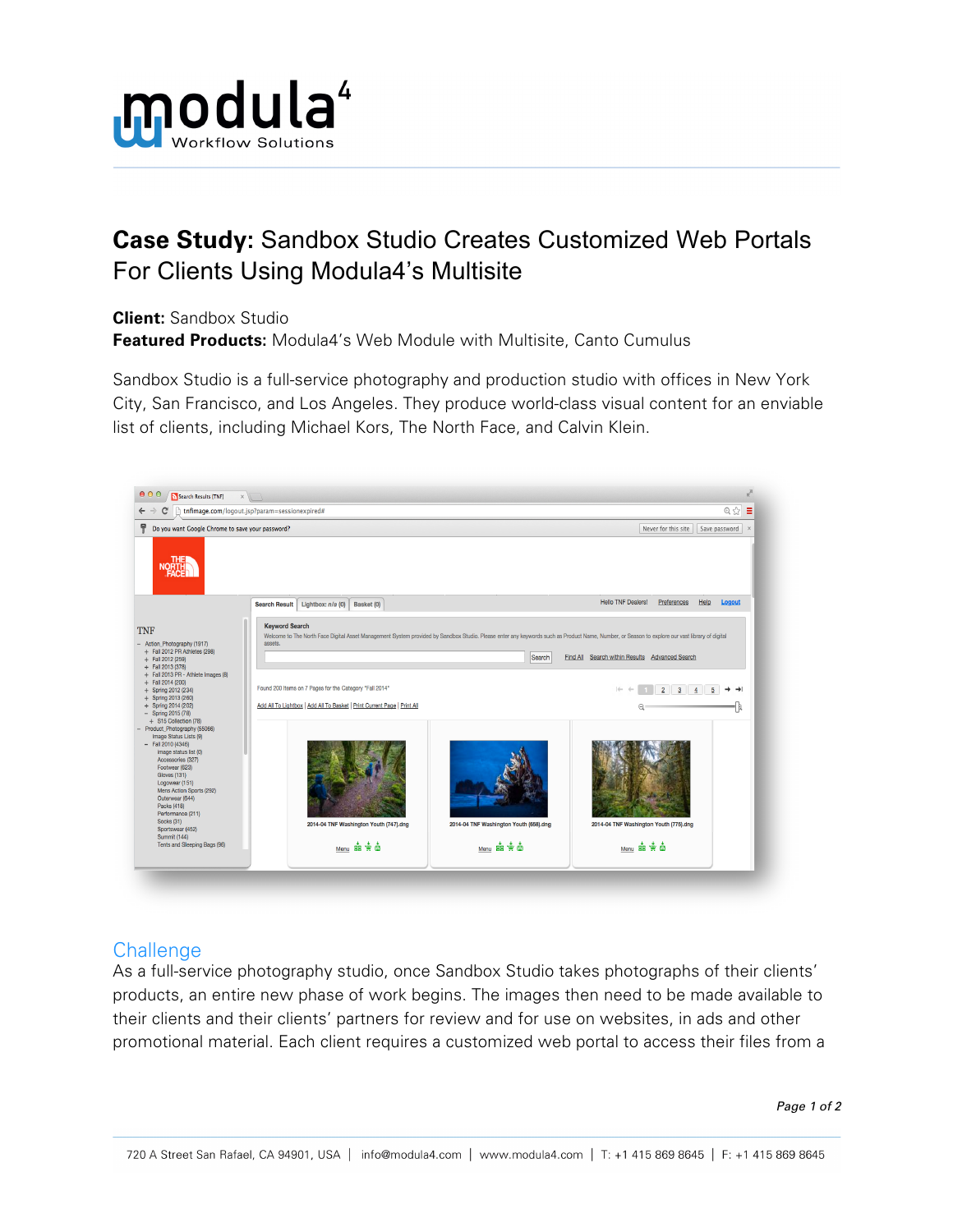

## **Case Study:** Sandbox Studio Creates Customized Web Portals For Clients Using Modula4's Multisite

**Client:** Sandbox Studio

**Featured Products:** Modula4's Web Module with Multisite, Canto Cumulus

Sandbox Studio is a full-service photography and production studio with offices in New York City, San Francisco, and Los Angeles. They produce world-class visual content for an enviable list of clients, including Michael Kors, The North Face, and Calvin Klein.



## **Challenge**

As a full-service photography studio, once Sandbox Studio takes photographs of their clients' products, an entire new phase of work begins. The images then need to be made available to their clients and their clients' partners for review and for use on websites, in ads and other promotional material. Each client requires a customized web portal to access their files from a